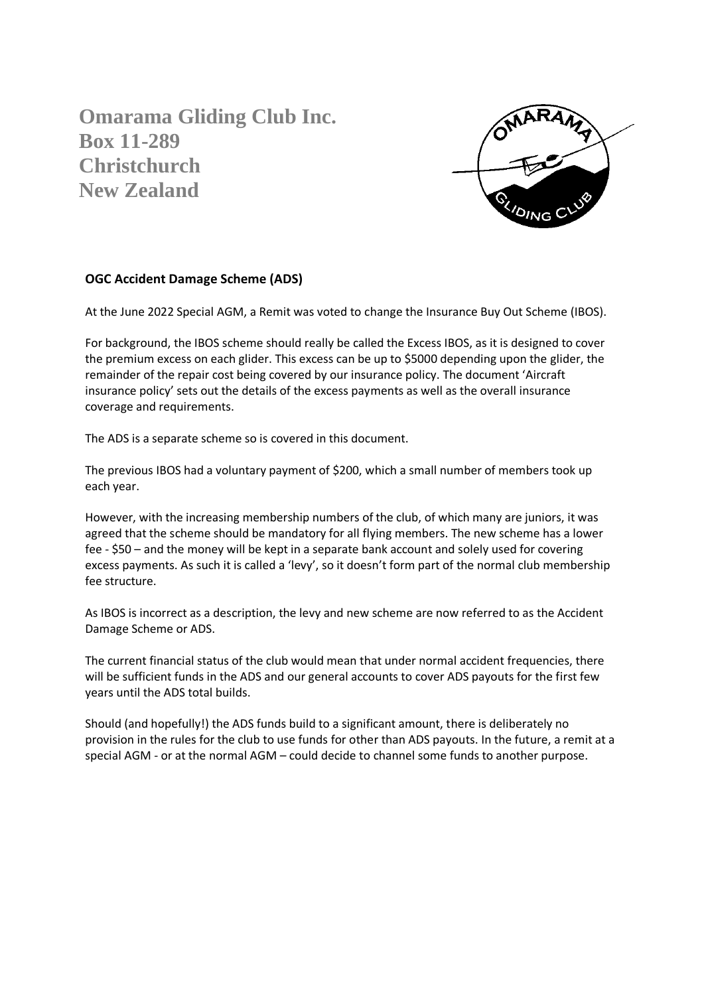**Omarama Gliding Club Inc. Box 11-289 Christchurch New Zealand**



## **OGC Accident Damage Scheme (ADS)**

At the June 2022 Special AGM, a Remit was voted to change the Insurance Buy Out Scheme (IBOS).

For background, the IBOS scheme should really be called the Excess IBOS, as it is designed to cover the premium excess on each glider. This excess can be up to \$5000 depending upon the glider, the remainder of the repair cost being covered by our insurance policy. The document 'Aircraft insurance policy' sets out the details of the excess payments as well as the overall insurance coverage and requirements.

The ADS is a separate scheme so is covered in this document.

The previous IBOS had a voluntary payment of \$200, which a small number of members took up each year.

However, with the increasing membership numbers of the club, of which many are juniors, it was agreed that the scheme should be mandatory for all flying members. The new scheme has a lower fee - \$50 – and the money will be kept in a separate bank account and solely used for covering excess payments. As such it is called a 'levy', so it doesn't form part of the normal club membership fee structure.

As IBOS is incorrect as a description, the levy and new scheme are now referred to as the Accident Damage Scheme or ADS.

The current financial status of the club would mean that under normal accident frequencies, there will be sufficient funds in the ADS and our general accounts to cover ADS payouts for the first few years until the ADS total builds.

Should (and hopefully!) the ADS funds build to a significant amount, there is deliberately no provision in the rules for the club to use funds for other than ADS payouts. In the future, a remit at a special AGM - or at the normal AGM – could decide to channel some funds to another purpose.